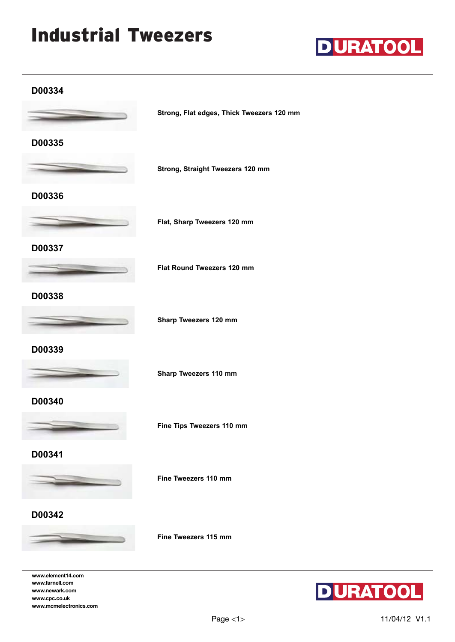# Industrial Tweezers



#### **D00334**



**Strong, Flat edges, Thick Tweezers 120 mm**

**D00335**

**Strong, Straight Tweezers 120 mm**

### **D00336**



**Flat, Sharp Tweezers 120 mm**

**D00337**



**Flat Round Tweezers 120 mm**

# **D00338**



**Sharp Tweezers 120 mm**

**D00339**



**Sharp Tweezers 110 mm**

**D00340**



**Fine Tips Tweezers 110 mm**

**D00341**



**D00342**



**www.element14.com www.farnell.com www.newark.com www.cpc.co.uk www.mcmelectronics.com** **Fine Tweezers 110 mm**

**Fine Tweezers 115 mm**



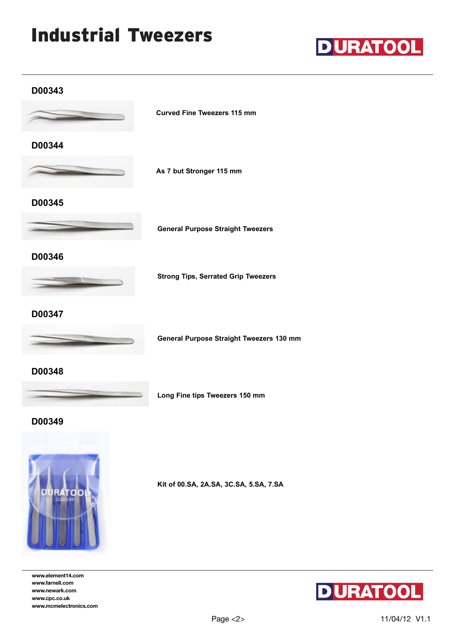# Industrial Tweezers



#### **D00343**



**D00344**



**As 7 but Stronger 115 mm**

**Curved Fine Tweezers 115 mm**

# **D00345**



**General Purpose Straight Tweezers**

### **D00346**



**Strong Tips, Serrated Grip Tweezers**

### **D00347**



**General Purpose Straight Tweezers 130 mm**

**D00348**



**Long Fine tips Tweezers 150 mm**

#### **D00349**



**www.element14.com www.farnell.com www.newark.com www.cpc.co.uk www.mcmelectronics.com** **Kit of 00.SA, 2A.SA, 3C.SA, 5.SA, 7.SA**

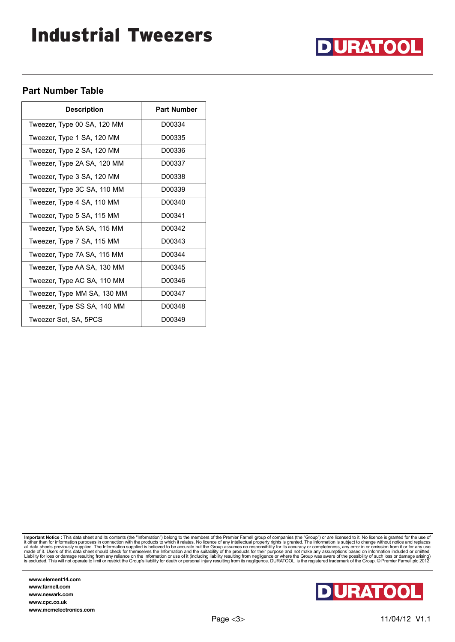# Industrial Tweezers



#### **Part Number Table**

| <b>Description</b>          | <b>Part Number</b> |
|-----------------------------|--------------------|
| Tweezer, Type 00 SA, 120 MM | D00334             |
| Tweezer, Type 1 SA, 120 MM  | D00335             |
| Tweezer, Type 2 SA, 120 MM  | D00336             |
| Tweezer, Type 2A SA, 120 MM | D00337             |
| Tweezer, Type 3 SA, 120 MM  | D00338             |
| Tweezer, Type 3C SA, 110 MM | D00339             |
| Tweezer, Type 4 SA, 110 MM  | D00340             |
| Tweezer, Type 5 SA, 115 MM  | D00341             |
| Tweezer, Type 5A SA, 115 MM | D00342             |
| Tweezer, Type 7 SA, 115 MM  | D00343             |
| Tweezer, Type 7A SA, 115 MM | D00344             |
| Tweezer, Type AA SA, 130 MM | D00345             |
| Tweezer, Type AC SA, 110 MM | D00346             |
| Tweezer, Type MM SA, 130 MM | D00347             |
| Tweezer, Type SS SA, 140 MM | D00348             |
| Tweezer Set, SA, 5PCS       | D00349             |

Important Notice : This data sheet and its contents (the "Information") belong to the members of the Premier Famell group of companies (the "Group") or are licensed to it. No licence is granted for the use of<br>it other than

**www.element14.com www.farnell.com www.newark.com www.cpc.co.uk www.mcmelectronics.com**